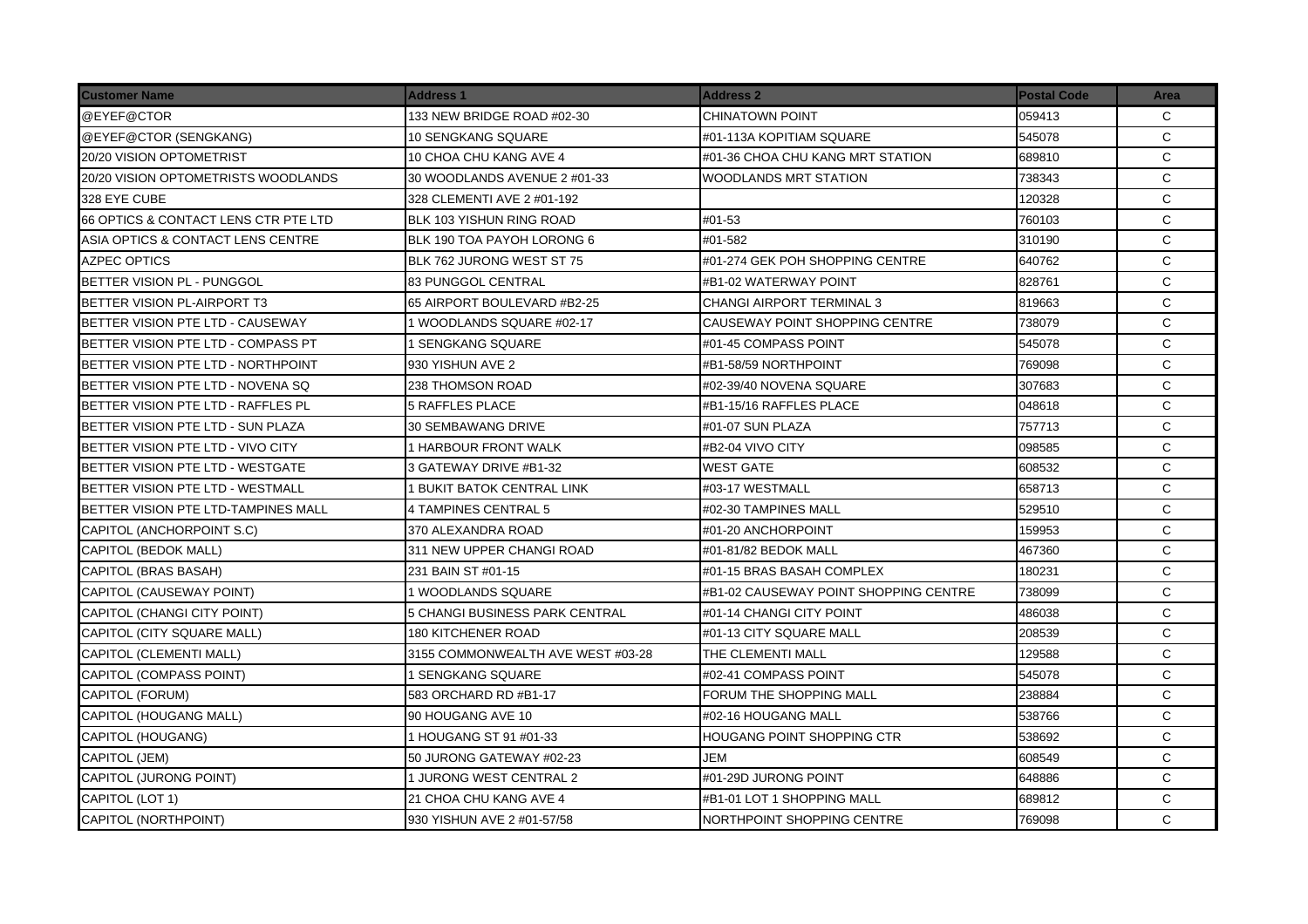| <b>Customer Name</b>                 | <b>Address 1</b>                  | <b>Address 2</b>                      | <b>Postal Code</b> | Area         |
|--------------------------------------|-----------------------------------|---------------------------------------|--------------------|--------------|
| @EYEF@CTOR                           | 133 NEW BRIDGE ROAD #02-30        | CHINATOWN POINT                       | 059413             | C            |
| @EYEF@CTOR (SENGKANG)                | <b>10 SENGKANG SQUARE</b>         | #01-113A KOPITIAM SQUARE              | 545078             | C            |
| 20/20 VISION OPTOMETRIST             | 10 CHOA CHU KANG AVE 4            | #01-36 CHOA CHU KANG MRT STATION      | 689810             | C            |
| 20/20 VISION OPTOMETRISTS WOODLANDS  | 30 WOODLANDS AVENUE 2 #01-33      | WOODLANDS MRT STATION                 | 738343             | $\mathsf{C}$ |
| 328 EYE CUBE                         | 328 CLEMENTI AVE 2 #01-192        |                                       | 120328             | $\mathsf{C}$ |
| 66 OPTICS & CONTACT LENS CTR PTE LTD | BLK 103 YISHUN RING ROAD          | #01-53                                | 760103             | $\mathsf{C}$ |
| ASIA OPTICS & CONTACT LENS CENTRE    | BLK 190 TOA PAYOH LORONG 6        | #01-582                               | 310190             | C            |
| <b>AZPEC OPTICS</b>                  | BLK 762 JURONG WEST ST 75         | #01-274 GEK POH SHOPPING CENTRE       | 640762             | C            |
| BETTER VISION PL - PUNGGOL           | <b>83 PUNGGOL CENTRAL</b>         | #B1-02 WATERWAY POINT                 | 828761             | C            |
| BETTER VISION PL-AIRPORT T3          | 65 AIRPORT BOULEVARD #B2-25       | CHANGI AIRPORT TERMINAL 3             | 819663             | C            |
| BETTER VISION PTE LTD - CAUSEWAY     | 1 WOODLANDS SQUARE #02-17         | <b>CAUSEWAY POINT SHOPPING CENTRE</b> | 738079             | $\mathsf{C}$ |
| BETTER VISION PTE LTD - COMPASS PT   | 1 SENGKANG SQUARE                 | #01-45 COMPASS POINT                  | 545078             | $\mathsf{C}$ |
| BETTER VISION PTE LTD - NORTHPOINT   | 930 YISHUN AVE 2                  | #B1-58/59 NORTHPOINT                  | 769098             | $\mathsf{C}$ |
| BETTER VISION PTE LTD - NOVENA SQ    | 238 THOMSON ROAD                  | #02-39/40 NOVENA SQUARE               | 307683             | $\mathsf{C}$ |
| BETTER VISION PTE LTD - RAFFLES PL   | <b>5 RAFFLES PLACE</b>            | #B1-15/16 RAFFLES PLACE               | 048618             | C            |
| BETTER VISION PTE LTD - SUN PLAZA    | 30 SEMBAWANG DRIVE                | #01-07 SUN PLAZA                      | 757713             | C            |
| BETTER VISION PTE LTD - VIVO CITY    | <b>1 HARBOUR FRONT WALK</b>       | #B2-04 VIVO CITY                      | 098585             | C            |
| BETTER VISION PTE LTD - WESTGATE     | 3 GATEWAY DRIVE #B1-32            | <b>WEST GATE</b>                      | 608532             | C            |
| BETTER VISION PTE LTD - WESTMALL     | 1 BUKIT BATOK CENTRAL LINK        | #03-17 WESTMALL                       | 658713             | C            |
| BETTER VISION PTE LTD-TAMPINES MALL  | <b>4 TAMPINES CENTRAL 5</b>       | #02-30 TAMPINES MALL                  | 529510             | C            |
| CAPITOL (ANCHORPOINT S.C)            | 370 ALEXANDRA ROAD                | #01-20 ANCHORPOINT                    | 159953             | $\mathsf{C}$ |
| CAPITOL (BEDOK MALL)                 | 311 NEW UPPER CHANGI ROAD         | #01-81/82 BEDOK MALL                  | 467360             | C            |
| CAPITOL (BRAS BASAH)                 | 231 BAIN ST #01-15                | #01-15 BRAS BASAH COMPLEX             | 180231             | C            |
| CAPITOL (CAUSEWAY POINT)             | 1 WOODLANDS SQUARE                | #B1-02 CAUSEWAY POINT SHOPPING CENTRE | 738099             | $\mathsf{C}$ |
| CAPITOL (CHANGI CITY POINT)          | 5 CHANGI BUSINESS PARK CENTRAL    | #01-14 CHANGI CITY POINT              | 486038             | $\mathsf{C}$ |
| CAPITOL (CITY SQUARE MALL)           | 180 KITCHENER ROAD                | #01-13 CITY SQUARE MALL               | 208539             | C            |
| CAPITOL (CLEMENTI MALL)              | 3155 COMMONWEALTH AVE WEST #03-28 | THE CLEMENTI MALL                     | 129588             | $\mathsf{C}$ |
| CAPITOL (COMPASS POINT)              | 1 SENGKANG SQUARE                 | #02-41 COMPASS POINT                  | 545078             | C            |
| CAPITOL (FORUM)                      | 583 ORCHARD RD #B1-17             | FORUM THE SHOPPING MALL               | 238884             | C            |
| <b>CAPITOL (HOUGANG MALL)</b>        | 90 HOUGANG AVE 10                 | #02-16 HOUGANG MALL                   | 538766             | C            |
| CAPITOL (HOUGANG)                    | 1 HOUGANG ST 91 #01-33            | HOUGANG POINT SHOPPING CTR            | 538692             | $\mathsf{C}$ |
| CAPITOL (JEM)                        | 50 JURONG GATEWAY #02-23          | JEM                                   | 608549             | C            |
| CAPITOL (JURONG POINT)               | 1 JURONG WEST CENTRAL 2           | #01-29D JURONG POINT                  | 648886             | C            |
| CAPITOL (LOT 1)                      | 21 CHOA CHU KANG AVE 4            | #B1-01 LOT 1 SHOPPING MALL            | 689812             | $\mathsf{C}$ |
| CAPITOL (NORTHPOINT)                 | 930 YISHUN AVE 2 #01-57/58        | NORTHPOINT SHOPPING CENTRE            | 769098             | C            |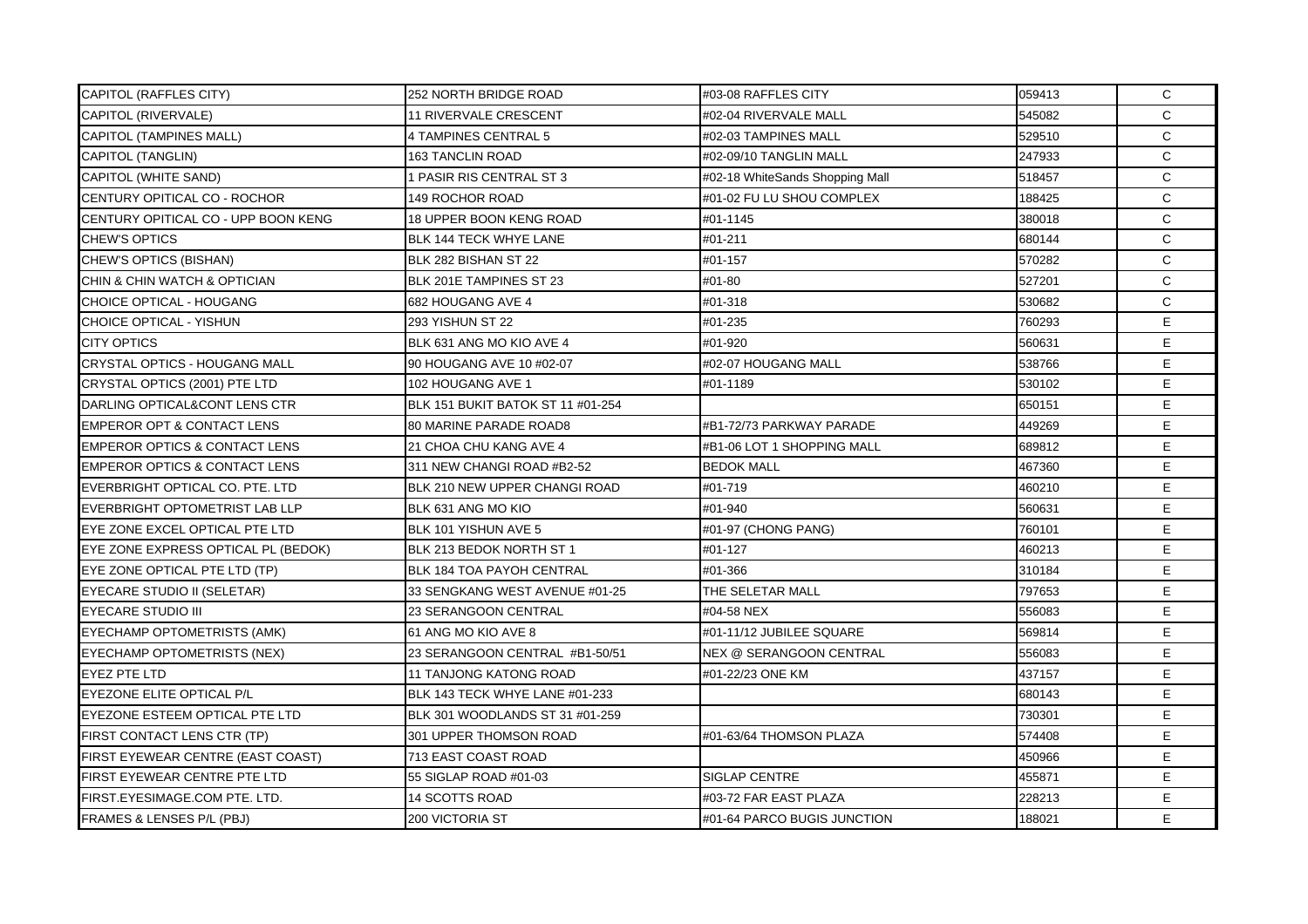| <b>CAPITOL (RAFFLES CITY)</b>            | 252 NORTH BRIDGE ROAD             | #03-08 RAFFLES CITY             | 059413 | $\mathsf{C}$ |
|------------------------------------------|-----------------------------------|---------------------------------|--------|--------------|
| CAPITOL (RIVERVALE)                      | 11 RIVERVALE CRESCENT             | #02-04 RIVERVALE MALL           | 545082 | $\mathsf{C}$ |
| <b>CAPITOL (TAMPINES MALL)</b>           | 4 TAMPINES CENTRAL 5              | #02-03 TAMPINES MALL            | 529510 | $\mathsf{C}$ |
| <b>CAPITOL (TANGLIN)</b>                 | <b>163 TANCLIN ROAD</b>           | #02-09/10 TANGLIN MALL          | 247933 | C            |
| <b>CAPITOL (WHITE SAND)</b>              | 1 PASIR RIS CENTRAL ST 3          | #02-18 WhiteSands Shopping Mall | 518457 | C            |
| CENTURY OPITICAL CO - ROCHOR             | 149 ROCHOR ROAD                   | #01-02 FU LU SHOU COMPLEX       | 188425 | $\mathsf{C}$ |
| CENTURY OPITICAL CO - UPP BOON KENG      | 18 UPPER BOON KENG ROAD           | #01-1145                        | 380018 | C            |
| <b>CHEW'S OPTICS</b>                     | BLK 144 TECK WHYE LANE            | #01-211                         | 680144 | C            |
| CHEW'S OPTICS (BISHAN)                   | BLK 282 BISHAN ST 22              | #01-157                         | 570282 | $\mathsf{C}$ |
| CHIN & CHIN WATCH & OPTICIAN             | BLK 201E TAMPINES ST 23           | #01-80                          | 527201 | C            |
| CHOICE OPTICAL - HOUGANG                 | 682 HOUGANG AVE 4                 | #01-318                         | 530682 | C            |
| CHOICE OPTICAL - YISHUN                  | 293 YISHUN ST 22                  | #01-235                         | 760293 | E.           |
| <b>CITY OPTICS</b>                       | BLK 631 ANG MO KIO AVE 4          | #01-920                         | 560631 | E            |
| CRYSTAL OPTICS - HOUGANG MALL            | 90 HOUGANG AVE 10 #02-07          | #02-07 HOUGANG MALL             | 538766 | E.           |
| CRYSTAL OPTICS (2001) PTE LTD            | 102 HOUGANG AVE 1                 | #01-1189                        | 530102 | E.           |
| DARLING OPTICAL&CONT LENS CTR            | BLK 151 BUKIT BATOK ST 11 #01-254 |                                 | 650151 | E.           |
| <b>EMPEROR OPT &amp; CONTACT LENS</b>    | <b>80 MARINE PARADE ROAD8</b>     | #B1-72/73 PARKWAY PARADE        | 449269 | E.           |
| <b>EMPEROR OPTICS &amp; CONTACT LENS</b> | 21 CHOA CHU KANG AVE 4            | #B1-06 LOT 1 SHOPPING MALL      | 689812 | E.           |
| <b>EMPEROR OPTICS &amp; CONTACT LENS</b> | 311 NEW CHANGI ROAD #B2-52        | <b>BEDOK MALL</b>               | 467360 | E.           |
| EVERBRIGHT OPTICAL CO. PTE. LTD          | BLK 210 NEW UPPER CHANGI ROAD     | #01-719                         | 460210 | E.           |
| EVERBRIGHT OPTOMETRIST LAB LLP           | BLK 631 ANG MO KIO                | #01-940                         | 560631 | E.           |
| EYE ZONE EXCEL OPTICAL PTE LTD           | BLK 101 YISHUN AVE 5              | #01-97 (CHONG PANG)             | 760101 | E.           |
| EYE ZONE EXPRESS OPTICAL PL (BEDOK)      | BLK 213 BEDOK NORTH ST 1          | #01-127                         | 460213 | E.           |
| EYE ZONE OPTICAL PTE LTD (TP)            | <b>BLK 184 TOA PAYOH CENTRAL</b>  | #01-366                         | 310184 | E.           |
| EYECARE STUDIO II (SELETAR)              | 33 SENGKANG WEST AVENUE #01-25    | THE SELETAR MALL                | 797653 | E.           |
| <b>EYECARE STUDIO III</b>                | 23 SERANGOON CENTRAL              | #04-58 NEX                      | 556083 | E            |
| EYECHAMP OPTOMETRISTS (AMK)              | 61 ANG MO KIO AVE 8               | #01-11/12 JUBILEE SQUARE        | 569814 | E            |
| EYECHAMP OPTOMETRISTS (NEX)              | 23 SERANGOON CENTRAL #B1-50/51    | NEX @ SERANGOON CENTRAL         | 556083 | E.           |
| <b>EYEZ PTE LTD</b>                      | <b>11 TANJONG KATONG ROAD</b>     | #01-22/23 ONE KM                | 437157 | E.           |
| EYEZONE ELITE OPTICAL P/L                | BLK 143 TECK WHYE LANE #01-233    |                                 | 680143 | E            |
| EYEZONE ESTEEM OPTICAL PTE LTD           | BLK 301 WOODLANDS ST 31 #01-259   |                                 | 730301 | E.           |
| FIRST CONTACT LENS CTR (TP)              | 301 UPPER THOMSON ROAD            | #01-63/64 THOMSON PLAZA         | 574408 | E.           |
| FIRST EYEWEAR CENTRE (EAST COAST)        | 713 EAST COAST ROAD               |                                 | 450966 | E.           |
| FIRST EYEWEAR CENTRE PTE LTD             | 55 SIGLAP ROAD #01-03             | SIGLAP CENTRE                   | 455871 | E.           |
| FIRST.EYESIMAGE.COM PTE. LTD.            | <b>14 SCOTTS ROAD</b>             | #03-72 FAR EAST PLAZA           | 228213 | E.           |
| FRAMES & LENSES P/L (PBJ)                | 200 VICTORIA ST                   | #01-64 PARCO BUGIS JUNCTION     | 188021 | E.           |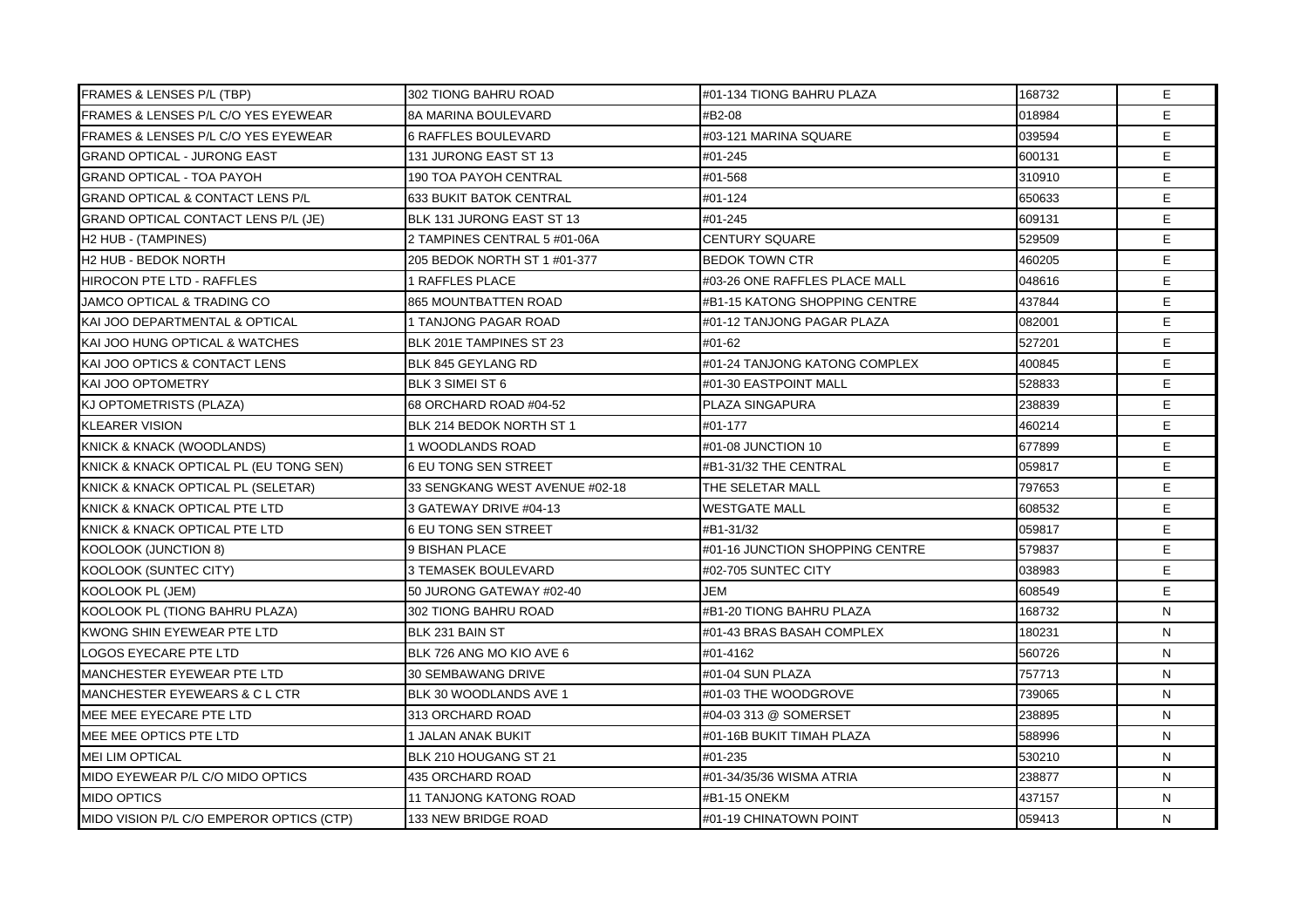| <b>FRAMES &amp; LENSES P/L (TBP)</b>           | 302 TIONG BAHRU ROAD           | #01-134 TIONG BAHRU PLAZA       | 168732 | E. |
|------------------------------------------------|--------------------------------|---------------------------------|--------|----|
| FRAMES & LENSES P/L C/O YES EYEWEAR            | 8A MARINA BOULEVARD            | #B2-08                          | 018984 | E  |
| <b>FRAMES &amp; LENSES P/L C/O YES EYEWEAR</b> | <b>6 RAFFLES BOULEVARD</b>     | #03-121 MARINA SQUARE           | 039594 | E  |
| <b>GRAND OPTICAL - JURONG EAST</b>             | 131 JURONG EAST ST 13          | #01-245                         | 600131 | E. |
| <b>GRAND OPTICAL - TOA PAYOH</b>               | <b>190 TOA PAYOH CENTRAL</b>   | #01-568                         | 310910 | E. |
| <b>GRAND OPTICAL &amp; CONTACT LENS P/L</b>    | <b>633 BUKIT BATOK CENTRAL</b> | #01-124                         | 650633 | E  |
| <b>GRAND OPTICAL CONTACT LENS P/L (JE)</b>     | BLK 131 JURONG EAST ST 13      | #01-245                         | 609131 | E. |
| H2 HUB - (TAMPINES)                            | 2 TAMPINES CENTRAL 5 #01-06A   | <b>CENTURY SQUARE</b>           | 529509 | E. |
| H2 HUB - BEDOK NORTH                           | 205 BEDOK NORTH ST 1 #01-377   | BEDOK TOWN CTR                  | 460205 | E  |
| <b>HIROCON PTE LTD - RAFFLES</b>               | <b>1 RAFFLES PLACE</b>         | #03-26 ONE RAFFLES PLACE MALL   | 048616 | E. |
| JAMCO OPTICAL & TRADING CO                     | <b>865 MOUNTBATTEN ROAD</b>    | #B1-15 KATONG SHOPPING CENTRE   | 437844 | E  |
| KAI JOO DEPARTMENTAL & OPTICAL                 | 1 TANJONG PAGAR ROAD           | #01-12 TANJONG PAGAR PLAZA      | 082001 | E  |
| KAI JOO HUNG OPTICAL & WATCHES                 | BLK 201E TAMPINES ST 23        | #01-62                          | 527201 | E. |
| KAI JOO OPTICS & CONTACT LENS                  | BLK 845 GEYLANG RD             | #01-24 TANJONG KATONG COMPLEX   | 400845 | E  |
| KAI JOO OPTOMETRY                              | BLK 3 SIMEI ST 6               | #01-30 EASTPOINT MALL           | 528833 | E. |
| KJ OPTOMETRISTS (PLAZA)                        | 68 ORCHARD ROAD #04-52         | PLAZA SINGAPURA                 | 238839 | E  |
| <b>KLEARER VISION</b>                          | BLK 214 BEDOK NORTH ST 1       | #01-177                         | 460214 | E  |
| <b>KNICK &amp; KNACK (WOODLANDS)</b>           | 1 WOODLANDS ROAD               | #01-08 JUNCTION 10              | 677899 | E  |
| KNICK & KNACK OPTICAL PL (EU TONG SEN)         | 6 EU TONG SEN STREET           | #B1-31/32 THE CENTRAL           | 059817 | E. |
| KNICK & KNACK OPTICAL PL (SELETAR)             | 33 SENGKANG WEST AVENUE #02-18 | THE SELETAR MALL                | 797653 | E  |
| KNICK & KNACK OPTICAL PTE LTD                  | 3 GATEWAY DRIVE #04-13         | WESTGATE MALL                   | 608532 | E  |
| KNICK & KNACK OPTICAL PTE LTD                  | 6 EU TONG SEN STREET           | #B1-31/32                       | 059817 | E. |
| KOOLOOK (JUNCTION 8)                           | 9 BISHAN PLACE                 | #01-16 JUNCTION SHOPPING CENTRE | 579837 | E  |
| <b>KOOLOOK (SUNTEC CITY)</b>                   | <b>3 TEMASEK BOULEVARD</b>     | #02-705 SUNTEC CITY             | 038983 | E  |
| KOOLOOK PL (JEM)                               | 50 JURONG GATEWAY #02-40       | <b>JEM</b>                      | 608549 | E. |
| KOOLOOK PL (TIONG BAHRU PLAZA)                 | 302 TIONG BAHRU ROAD           | #B1-20 TIONG BAHRU PLAZA        | 168732 | N  |
| KWONG SHIN EYEWEAR PTE LTD                     | BLK 231 BAIN ST                | #01-43 BRAS BASAH COMPLEX       | 180231 | N  |
| <b>LOGOS EYECARE PTE LTD</b>                   | BLK 726 ANG MO KIO AVE 6       | #01-4162                        | 560726 | N  |
| MANCHESTER EYEWEAR PTE LTD                     | <b>30 SEMBAWANG DRIVE</b>      | #01-04 SUN PLAZA                | 757713 | N  |
| MANCHESTER EYEWEARS & CL CTR                   | BLK 30 WOODLANDS AVE 1         | #01-03 THE WOODGROVE            | 739065 | N  |
| MEE MEE EYECARE PTE LTD                        | 313 ORCHARD ROAD               | #04-03 313 @ SOMERSET           | 238895 | N  |
| MEE MEE OPTICS PTE LTD                         | <b>1 JALAN ANAK BUKIT</b>      | #01-16B BUKIT TIMAH PLAZA       | 588996 | N  |
| <b>MEI LIM OPTICAL</b>                         | BLK 210 HOUGANG ST 21          | #01-235                         | 530210 | N  |
| MIDO EYEWEAR P/L C/O MIDO OPTICS               | 435 ORCHARD ROAD               | #01-34/35/36 WISMA ATRIA        | 238877 | N  |
| <b>MIDO OPTICS</b>                             | 11 TANJONG KATONG ROAD         | #B1-15 ONEKM                    | 437157 | N  |
| MIDO VISION P/L C/O EMPEROR OPTICS (CTP)       | 133 NEW BRIDGE ROAD            | #01-19 CHINATOWN POINT          | 059413 | N  |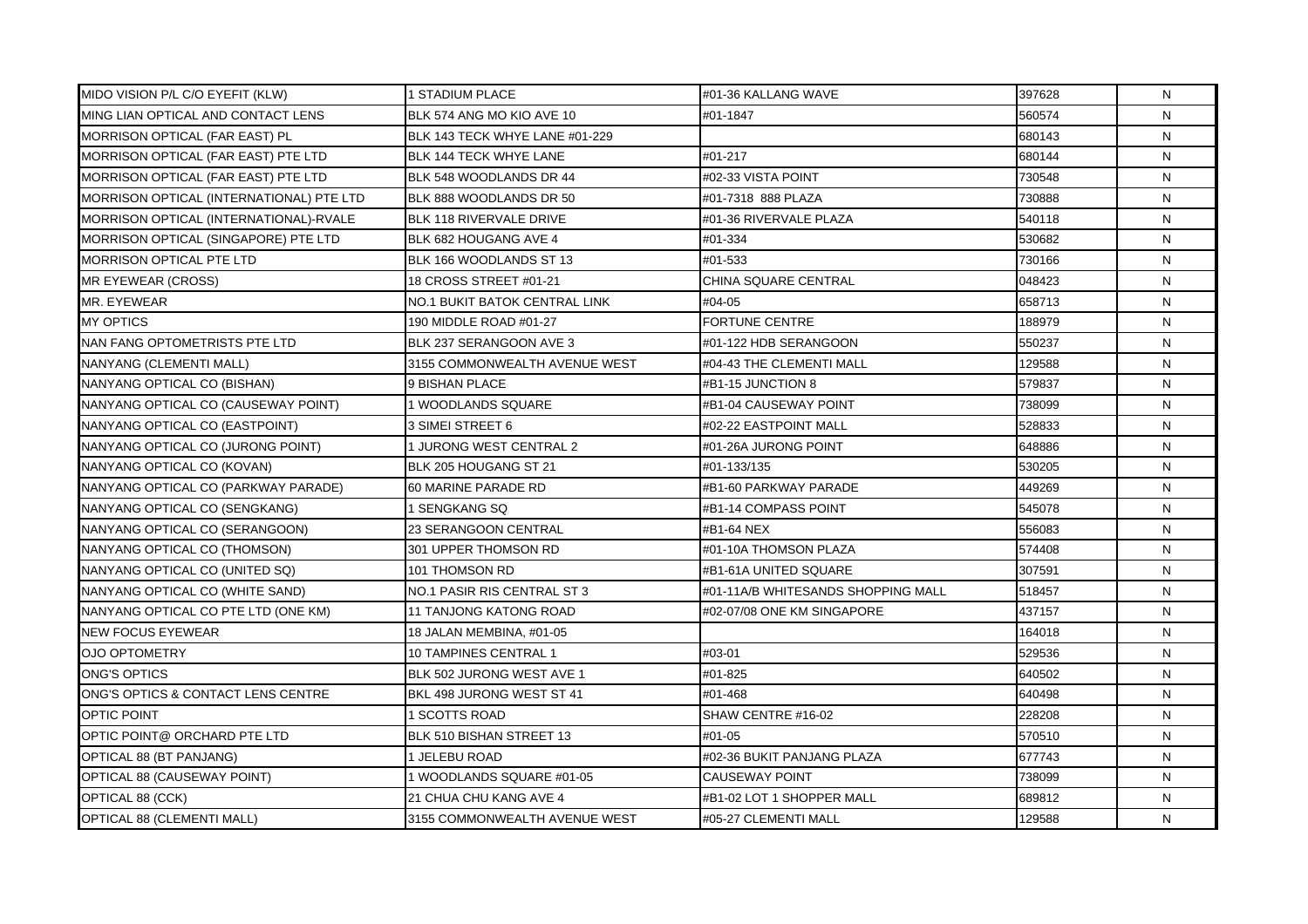| MIDO VISION P/L C/O EYEFIT (KLW)         | 1 STADIUM PLACE                | #01-36 KALLANG WAVE                | 397628 | N.           |
|------------------------------------------|--------------------------------|------------------------------------|--------|--------------|
| MING LIAN OPTICAL AND CONTACT LENS       | BLK 574 ANG MO KIO AVE 10      | #01-1847                           | 560574 | N            |
| <b>MORRISON OPTICAL (FAR EAST) PL</b>    | BLK 143 TECK WHYE LANE #01-229 |                                    | 680143 | N            |
| MORRISON OPTICAL (FAR EAST) PTE LTD      | BLK 144 TECK WHYE LANE         | #01-217                            | 680144 | N            |
| MORRISON OPTICAL (FAR EAST) PTE LTD      | BLK 548 WOODLANDS DR 44        | #02-33 VISTA POINT                 | 730548 | $\mathsf{N}$ |
| MORRISON OPTICAL (INTERNATIONAL) PTE LTD | BLK 888 WOODLANDS DR 50        | #01-7318 888 PLAZA                 | 730888 | N            |
| MORRISON OPTICAL (INTERNATIONAL)-RVALE   | BLK 118 RIVERVALE DRIVE        | #01-36 RIVERVALE PLAZA             | 540118 | N            |
| MORRISON OPTICAL (SINGAPORE) PTE LTD     | BLK 682 HOUGANG AVE 4          | #01-334                            | 530682 | N            |
| <b>MORRISON OPTICAL PTE LTD</b>          | BLK 166 WOODLANDS ST 13        | #01-533                            | 730166 | N            |
| <b>MR EYEWEAR (CROSS)</b>                | 18 CROSS STREET #01-21         | CHINA SQUARE CENTRAL               | 048423 | N            |
| MR. EYEWEAR                              | NO.1 BUKIT BATOK CENTRAL LINK  | #04-05                             | 658713 | N            |
| <b>MY OPTICS</b>                         | 190 MIDDLE ROAD #01-27         | <b>FORTUNE CENTRE</b>              | 188979 | N            |
| NAN FANG OPTOMETRISTS PTE LTD            | BLK 237 SERANGOON AVE 3        | #01-122 HDB SERANGOON              | 550237 | N            |
| NANYANG (CLEMENTI MALL)                  | 3155 COMMONWEALTH AVENUE WEST  | #04-43 THE CLEMENTI MALL           | 129588 | N            |
| NANYANG OPTICAL CO (BISHAN)              | 9 BISHAN PLACE                 | #B1-15 JUNCTION 8                  | 579837 | N            |
| NANYANG OPTICAL CO (CAUSEWAY POINT)      | 1 WOODLANDS SQUARE             | #B1-04 CAUSEWAY POINT              | 738099 | N            |
| NANYANG OPTICAL CO (EASTPOINT)           | 3 SIMEI STREET 6               | #02-22 EASTPOINT MALL              | 528833 | N            |
| NANYANG OPTICAL CO (JURONG POINT)        | 1 JURONG WEST CENTRAL 2        | #01-26A JURONG POINT               | 648886 | N            |
| NANYANG OPTICAL CO (KOVAN)               | BLK 205 HOUGANG ST 21          | #01-133/135                        | 530205 | N            |
| NANYANG OPTICAL CO (PARKWAY PARADE)      | 60 MARINE PARADE RD            | #B1-60 PARKWAY PARADE              | 449269 | N            |
| NANYANG OPTICAL CO (SENGKANG)            | 1 SENGKANG SQ                  | #B1-14 COMPASS POINT               | 545078 | N            |
| NANYANG OPTICAL CO (SERANGOON)           | <b>23 SERANGOON CENTRAL</b>    | #B1-64 NEX                         | 556083 | N            |
| NANYANG OPTICAL CO (THOMSON)             | 301 UPPER THOMSON RD           | #01-10A THOMSON PLAZA              | 574408 | N            |
| NANYANG OPTICAL CO (UNITED SQ)           | 101 THOMSON RD                 | #B1-61A UNITED SQUARE              | 307591 | N            |
| NANYANG OPTICAL CO (WHITE SAND)          | NO.1 PASIR RIS CENTRAL ST 3    | #01-11A/B WHITESANDS SHOPPING MALL | 518457 | N            |
| NANYANG OPTICAL CO PTE LTD (ONE KM)      | <b>11 TANJONG KATONG ROAD</b>  | #02-07/08 ONE KM SINGAPORE         | 437157 | N            |
| <b>NEW FOCUS EYEWEAR</b>                 | 18 JALAN MEMBINA, #01-05       |                                    | 164018 | N            |
| <b>OJO OPTOMETRY</b>                     | 10 TAMPINES CENTRAL 1          | #03-01                             | 529536 | N            |
| <b>ONG'S OPTICS</b>                      | BLK 502 JURONG WEST AVE 1      | #01-825                            | 640502 | N            |
| ONG'S OPTICS & CONTACT LENS CENTRE       | BKL 498 JURONG WEST ST 41      | #01-468                            | 640498 | N            |
| <b>OPTIC POINT</b>                       | 1 SCOTTS ROAD                  | SHAW CENTRE #16-02                 | 228208 | N            |
| OPTIC POINT@ ORCHARD PTE LTD             | BLK 510 BISHAN STREET 13       | #01-05                             | 570510 | N            |
| OPTICAL 88 (BT PANJANG)                  | 1 JELEBU ROAD                  | #02-36 BUKIT PANJANG PLAZA         | 677743 | N            |
| OPTICAL 88 (CAUSEWAY POINT)              | 1 WOODLANDS SQUARE #01-05      | <b>CAUSEWAY POINT</b>              | 738099 | N            |
| OPTICAL 88 (CCK)                         | 21 CHUA CHU KANG AVE 4         | #B1-02 LOT 1 SHOPPER MALL          | 689812 | N            |
| <b>OPTICAL 88 (CLEMENTI MALL)</b>        | 3155 COMMONWEALTH AVENUE WEST  | #05-27 CLEMENTI MALL               | 129588 | N            |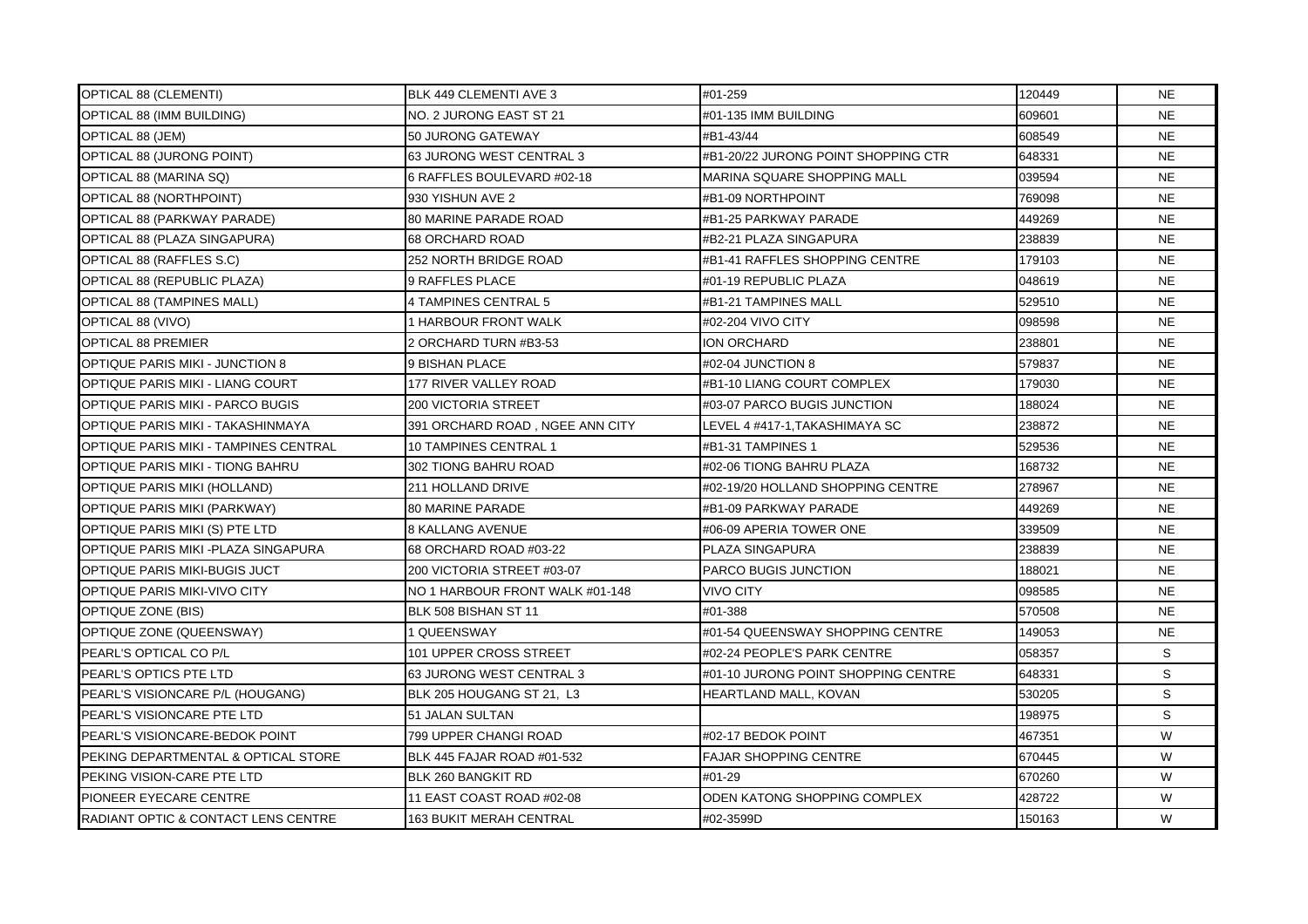| <b>OPTICAL 88 (CLEMENTI)</b>          | BLK 449 CLEMENTI AVE 3          | #01-259                             | 120449 | <b>NE</b> |
|---------------------------------------|---------------------------------|-------------------------------------|--------|-----------|
| OPTICAL 88 (IMM BUILDING)             | NO. 2 JURONG EAST ST 21         | #01-135 IMM BUILDING                | 609601 | <b>NE</b> |
| OPTICAL 88 (JEM)                      | 50 JURONG GATEWAY               | #B1-43/44                           | 608549 | <b>NE</b> |
| OPTICAL 88 (JURONG POINT)             | 63 JURONG WEST CENTRAL 3        | #B1-20/22 JURONG POINT SHOPPING CTR | 648331 | <b>NE</b> |
| OPTICAL 88 (MARINA SQ)                | 6 RAFFLES BOULEVARD #02-18      | MARINA SQUARE SHOPPING MALL         | 039594 | <b>NE</b> |
| OPTICAL 88 (NORTHPOINT)               | 930 YISHUN AVE 2                | #B1-09 NORTHPOINT                   | 769098 | <b>NE</b> |
| OPTICAL 88 (PARKWAY PARADE)           | <b>80 MARINE PARADE ROAD</b>    | #B1-25 PARKWAY PARADE               | 449269 | <b>NE</b> |
| OPTICAL 88 (PLAZA SINGAPURA)          | 68 ORCHARD ROAD                 | #B2-21 PLAZA SINGAPURA              | 238839 | <b>NE</b> |
| OPTICAL 88 (RAFFLES S.C)              | 252 NORTH BRIDGE ROAD           | #B1-41 RAFFLES SHOPPING CENTRE      | 179103 | <b>NE</b> |
| OPTICAL 88 (REPUBLIC PLAZA)           | 9 RAFFLES PLACE                 | #01-19 REPUBLIC PLAZA               | 048619 | <b>NE</b> |
| <b>OPTICAL 88 (TAMPINES MALL)</b>     | 4 TAMPINES CENTRAL 5            | #B1-21 TAMPINES MALL                | 529510 | <b>NE</b> |
| OPTICAL 88 (VIVO)                     | <b>1 HARBOUR FRONT WALK</b>     | #02-204 VIVO CITY                   | 098598 | <b>NE</b> |
| <b>OPTICAL 88 PREMIER</b>             | 2 ORCHARD TURN #B3-53           | ION ORCHARD                         | 238801 | <b>NE</b> |
| OPTIQUE PARIS MIKI - JUNCTION 8       | 9 BISHAN PLACE                  | #02-04 JUNCTION 8                   | 579837 | <b>NE</b> |
| OPTIQUE PARIS MIKI - LIANG COURT      | <b>177 RIVER VALLEY ROAD</b>    | #B1-10 LIANG COURT COMPLEX          | 179030 | <b>NE</b> |
| OPTIQUE PARIS MIKI - PARCO BUGIS      | 200 VICTORIA STREET             | #03-07 PARCO BUGIS JUNCTION         | 188024 | <b>NE</b> |
| OPTIQUE PARIS MIKI - TAKASHINMAYA     | 391 ORCHARD ROAD, NGEE ANN CITY | LEVEL 4 #417-1,TAKASHIMAYA SC       | 238872 | <b>NE</b> |
| OPTIQUE PARIS MIKI - TAMPINES CENTRAL | 10 TAMPINES CENTRAL 1           | #B1-31 TAMPINES 1                   | 529536 | <b>NE</b> |
| OPTIQUE PARIS MIKI - TIONG BAHRU      | 302 TIONG BAHRU ROAD            | #02-06 TIONG BAHRU PLAZA            | 168732 | <b>NE</b> |
| OPTIQUE PARIS MIKI (HOLLAND)          | 211 HOLLAND DRIVE               | #02-19/20 HOLLAND SHOPPING CENTRE   | 278967 | <b>NE</b> |
| OPTIQUE PARIS MIKI (PARKWAY)          | 80 MARINE PARADE                | #B1-09 PARKWAY PARADE               | 449269 | <b>NE</b> |
| OPTIQUE PARIS MIKI (S) PTE LTD        | <b>8 KALLANG AVENUE</b>         | #06-09 APERIA TOWER ONE             | 339509 | <b>NE</b> |
| OPTIQUE PARIS MIKI - PLAZA SINGAPURA  | 68 ORCHARD ROAD #03-22          | PLAZA SINGAPURA                     | 238839 | <b>NE</b> |
| OPTIQUE PARIS MIKI-BUGIS JUCT         | 200 VICTORIA STREET #03-07      | PARCO BUGIS JUNCTION                | 188021 | <b>NE</b> |
| OPTIQUE PARIS MIKI-VIVO CITY          | NO 1 HARBOUR FRONT WALK #01-148 | VIVO CITY                           | 098585 | <b>NE</b> |
| <b>OPTIQUE ZONE (BIS)</b>             | BLK 508 BISHAN ST 11            | #01-388                             | 570508 | <b>NE</b> |
| OPTIQUE ZONE (QUEENSWAY)              | 1 QUEENSWAY                     | #01-54 QUEENSWAY SHOPPING CENTRE    | 149053 | <b>NE</b> |
| PEARL'S OPTICAL CO P/L                | 101 UPPER CROSS STREET          | #02-24 PEOPLE'S PARK CENTRE         | 058357 | S         |
| <b>PEARL'S OPTICS PTE LTD</b>         | 63 JURONG WEST CENTRAL 3        | #01-10 JURONG POINT SHOPPING CENTRE | 648331 | S         |
| PEARL'S VISIONCARE P/L (HOUGANG)      | BLK 205 HOUGANG ST 21, L3       | HEARTLAND MALL, KOVAN               | 530205 | S         |
| PEARL'S VISIONCARE PTE LTD            | 51 JALAN SULTAN                 |                                     | 198975 | S         |
| PEARL'S VISIONCARE-BEDOK POINT        | 799 UPPER CHANGI ROAD           | #02-17 BEDOK POINT                  | 467351 | W         |
| PEKING DEPARTMENTAL & OPTICAL STORE   | BLK 445 FAJAR ROAD #01-532      | <b>FAJAR SHOPPING CENTRE</b>        | 670445 | W         |
| PEKING VISION-CARE PTE LTD            | <b>BLK 260 BANGKIT RD</b>       | #01-29                              | 670260 | W         |
| PIONEER EYECARE CENTRE                | 11 EAST COAST ROAD #02-08       | ODEN KATONG SHOPPING COMPLEX        | 428722 | W         |
| RADIANT OPTIC & CONTACT LENS CENTRE   | <b>163 BUKIT MERAH CENTRAL</b>  | #02-3599D                           | 150163 | W         |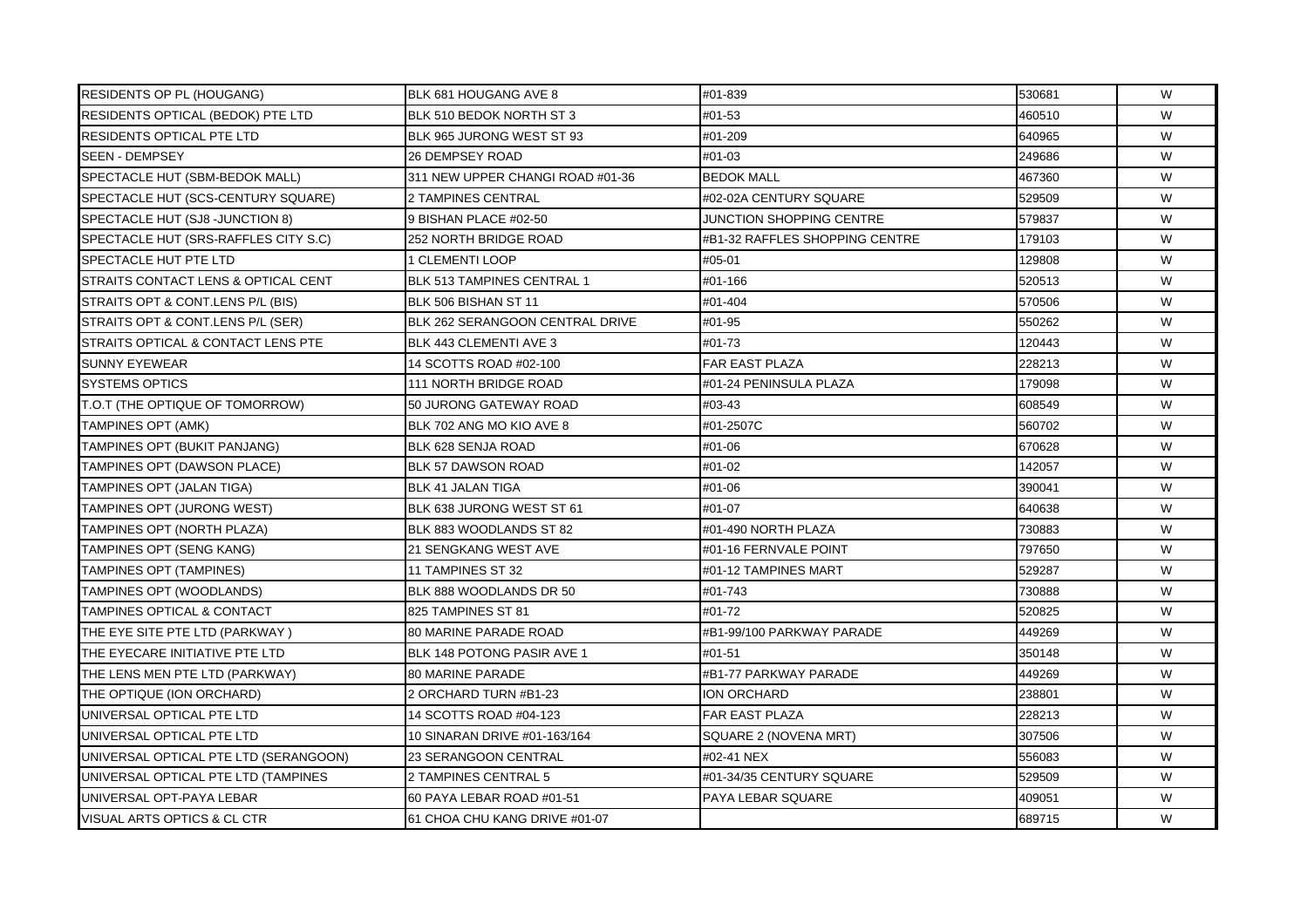| RESIDENTS OP PL (HOUGANG)             | BLK 681 HOUGANG AVE 8             | #01-839                        | 530681 | W |
|---------------------------------------|-----------------------------------|--------------------------------|--------|---|
| RESIDENTS OPTICAL (BEDOK) PTE LTD     | BLK 510 BEDOK NORTH ST 3          | #01-53                         | 460510 | W |
| <b>RESIDENTS OPTICAL PTE LTD</b>      | BLK 965 JURONG WEST ST 93         | #01-209                        | 640965 | W |
| <b>SEEN - DEMPSEY</b>                 | <b>26 DEMPSEY ROAD</b>            | #01-03                         | 249686 | W |
| SPECTACLE HUT (SBM-BEDOK MALL)        | 311 NEW UPPER CHANGI ROAD #01-36  | <b>BEDOK MALL</b>              | 467360 | W |
| SPECTACLE HUT (SCS-CENTURY SQUARE)    | 2 TAMPINES CENTRAL                | #02-02A CENTURY SQUARE         | 529509 | W |
| SPECTACLE HUT (SJ8 -JUNCTION 8)       | 9 BISHAN PLACE #02-50             | JUNCTION SHOPPING CENTRE       | 579837 | W |
| SPECTACLE HUT (SRS-RAFFLES CITY S.C)  | 252 NORTH BRIDGE ROAD             | #B1-32 RAFFLES SHOPPING CENTRE | 179103 | W |
| SPECTACLE HUT PTE LTD                 | 1 CLEMENTI LOOP                   | #05-01                         | 129808 | W |
| STRAITS CONTACT LENS & OPTICAL CENT   | BLK 513 TAMPINES CENTRAL 1        | #01-166                        | 520513 | W |
| STRAITS OPT & CONT.LENS P/L (BIS)     | BLK 506 BISHAN ST 11              | #01-404                        | 570506 | W |
| STRAITS OPT & CONT.LENS P/L (SER)     | BLK 262 SERANGOON CENTRAL DRIVE   | #01-95                         | 550262 | W |
| STRAITS OPTICAL & CONTACT LENS PTE    | BLK 443 CLEMENTI AVE 3            | #01-73                         | 120443 | W |
| <b>SUNNY EYEWEAR</b>                  | 14 SCOTTS ROAD #02-100            | FAR EAST PLAZA                 | 228213 | W |
| <b>SYSTEMS OPTICS</b>                 | <b>111 NORTH BRIDGE ROAD</b>      | #01-24 PENINSULA PLAZA         | 179098 | W |
| T.O.T (THE OPTIQUE OF TOMORROW)       | 50 JURONG GATEWAY ROAD            | #03-43                         | 608549 | W |
| <b>TAMPINES OPT (AMK)</b>             | BLK 702 ANG MO KIO AVE 8          | #01-2507C                      | 560702 | W |
| TAMPINES OPT (BUKIT PANJANG)          | BLK 628 SENJA ROAD                | #01-06                         | 670628 | W |
| <b>TAMPINES OPT (DAWSON PLACE)</b>    | <b>BLK 57 DAWSON ROAD</b>         | #01-02                         | 142057 | W |
| TAMPINES OPT (JALAN TIGA)             | <b>BLK 41 JALAN TIGA</b>          | #01-06                         | 390041 | W |
| TAMPINES OPT (JURONG WEST)            | BLK 638 JURONG WEST ST 61         | #01-07                         | 640638 | W |
| TAMPINES OPT (NORTH PLAZA)            | BLK 883 WOODLANDS ST 82           | #01-490 NORTH PLAZA            | 730883 | W |
| TAMPINES OPT (SENG KANG)              | <b>21 SENGKANG WEST AVE</b>       | #01-16 FERNVALE POINT          | 797650 | W |
| TAMPINES OPT (TAMPINES)               | 11 TAMPINES ST 32                 | #01-12 TAMPINES MART           | 529287 | W |
| TAMPINES OPT (WOODLANDS)              | BLK 888 WOODLANDS DR 50           | #01-743                        | 730888 | W |
| <b>TAMPINES OPTICAL &amp; CONTACT</b> | 825 TAMPINES ST 81                | #01-72                         | 520825 | W |
| THE EYE SITE PTE LTD (PARKWAY)        | 80 MARINE PARADE ROAD             | #B1-99/100 PARKWAY PARADE      | 449269 | W |
| THE EYECARE INITIATIVE PTE LTD        | <b>BLK 148 POTONG PASIR AVE 1</b> | #01-51                         | 350148 | W |
| THE LENS MEN PTE LTD (PARKWAY)        | <b>80 MARINE PARADE</b>           | #B1-77 PARKWAY PARADE          | 449269 | W |
| THE OPTIQUE (ION ORCHARD)             | 2 ORCHARD TURN #B1-23             | <b>ION ORCHARD</b>             | 238801 | W |
| UNIVERSAL OPTICAL PTE LTD             | 14 SCOTTS ROAD #04-123            | <b>FAR EAST PLAZA</b>          | 228213 | W |
| UNIVERSAL OPTICAL PTE LTD             | 10 SINARAN DRIVE #01-163/164      | SQUARE 2 (NOVENA MRT)          | 307506 | W |
| UNIVERSAL OPTICAL PTE LTD (SERANGOON) | 23 SERANGOON CENTRAL              | #02-41 NEX                     | 556083 | W |
| UNIVERSAL OPTICAL PTE LTD (TAMPINES   | 2 TAMPINES CENTRAL 5              | #01-34/35 CENTURY SQUARE       | 529509 | W |
| UNIVERSAL OPT-PAYA LEBAR              | 60 PAYA LEBAR ROAD #01-51         | PAYA LEBAR SQUARE              | 409051 | W |
| VISUAL ARTS OPTICS & CL CTR           | 61 CHOA CHU KANG DRIVE #01-07     |                                | 689715 | W |